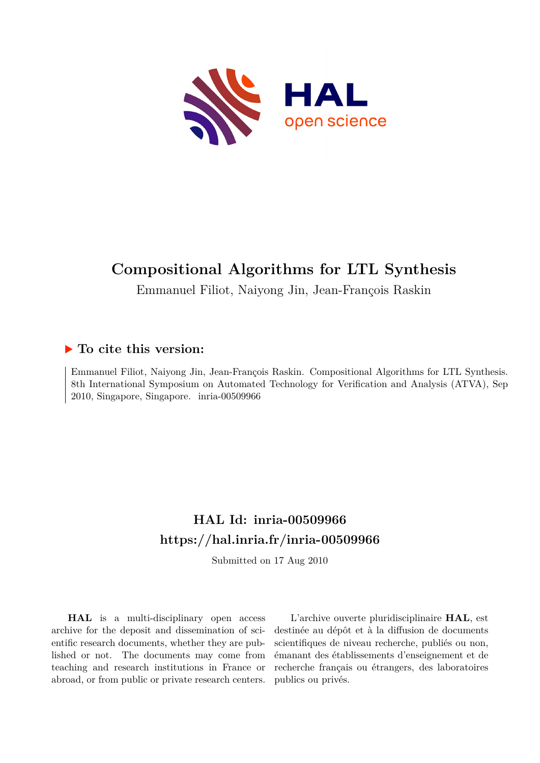

# **Compositional Algorithms for LTL Synthesis**

Emmanuel Filiot, Naiyong Jin, Jean-François Raskin

## **To cite this version:**

Emmanuel Filiot, Naiyong Jin, Jean-François Raskin. Compositional Algorithms for LTL Synthesis. 8th International Symposium on Automated Technology for Verification and Analysis (ATVA), Sep  $2010$ , Singapore, Singapore. inria- $00509966$ 

## **HAL Id: inria-00509966 <https://hal.inria.fr/inria-00509966>**

Submitted on 17 Aug 2010

**HAL** is a multi-disciplinary open access archive for the deposit and dissemination of scientific research documents, whether they are published or not. The documents may come from teaching and research institutions in France or abroad, or from public or private research centers.

L'archive ouverte pluridisciplinaire **HAL**, est destinée au dépôt et à la diffusion de documents scientifiques de niveau recherche, publiés ou non, émanant des établissements d'enseignement et de recherche français ou étrangers, des laboratoires publics ou privés.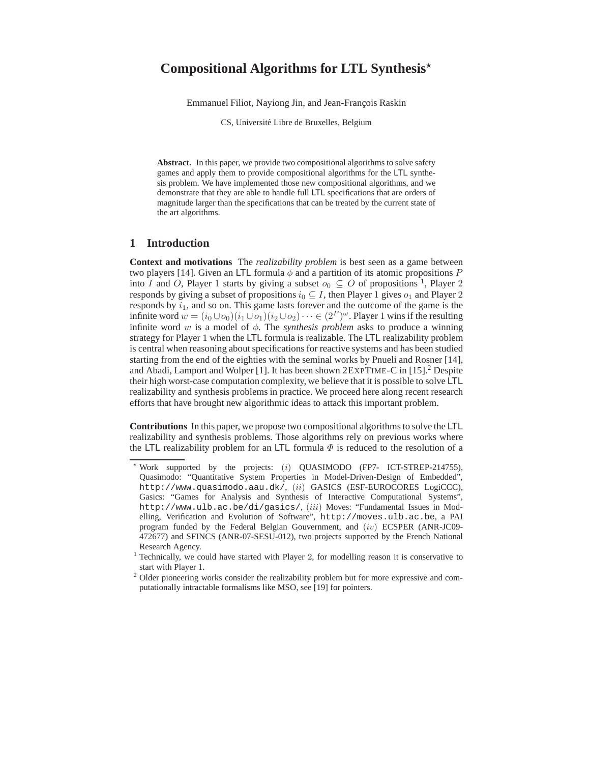### **Compositional Algorithms for LTL Synthesis**<sup>⋆</sup>

Emmanuel Filiot, Nayiong Jin, and Jean-François Raskin

CS, Université Libre de Bruxelles, Belgium

**Abstract.** In this paper, we provide two compositional algorithms to solve safety games and apply them to provide compositional algorithms for the LTL synthesis problem. We have implemented those new compositional algorithms, and we demonstrate that they are able to handle full LTL specifications that are orders of magnitude larger than the specifications that can be treated by the current state of the art algorithms.

#### **1 Introduction**

**Context and motivations** The *realizability problem* is best seen as a game between two players [14]. Given an LTL formula  $\phi$  and a partition of its atomic propositions P into I and O, Player 1 starts by giving a subset  $o_0 \subseteq O$  of propositions <sup>1</sup>, Player 2 responds by giving a subset of propositions  $i_0 \nsubseteq I$ , then Player 1 gives  $o_1$  and Player 2 responds by  $i_1$ , and so on. This game lasts forever and the outcome of the game is the infinite word  $w = (i_0 \cup o_0)(i_1 \cup o_1)(i_2 \cup o_2) \cdots \in (2^P)^{\omega}$ . Player 1 wins if the resulting infinite word w is a model of  $\phi$ . The *synthesis problem* asks to produce a winning strategy for Player 1 when the LTL formula is realizable. The LTL realizability problem is central when reasoning about specifications for reactive systems and has been studied starting from the end of the eighties with the seminal works by Pnueli and Rosner [14], and Abadi, Lamport and Wolper [1]. It has been shown  $2EXPTIME-C$  in  $[15]<sup>2</sup>$  Despite their high worst-case computation complexity, we believe that it is possible to solve LTL realizability and synthesis problems in practice. We proceed here along recent research efforts that have brought new algorithmic ideas to attack this important problem.

**Contributions** In this paper, we propose two compositional algorithms to solve the LTL realizability and synthesis problems. Those algorithms rely on previous works where the LTL realizability problem for an LTL formula  $\Phi$  is reduced to the resolution of a

Work supported by the projects: (i) QUASIMODO (FP7- ICT-STREP-214755), Quasimodo: "Quantitative System Properties in Model-Driven-Design of Embedded", http://www.quasimodo.aau.dk/, (ii) GASICS (ESF-EUROCORES LogiCCC), Gasics: "Games for Analysis and Synthesis of Interactive Computational Systems", http://www.ulb.ac.be/di/gasics/, (iii) Moves: "Fundamental Issues in Modelling, Verification and Evolution of Software", http://moves.ulb.ac.be, a PAI program funded by the Federal Belgian Gouvernment, and  $(iv)$  ECSPER (ANR-JC09-472677) and SFINCS (ANR-07-SESU-012), two projects supported by the French National Research Agency.

<sup>&</sup>lt;sup>1</sup> Technically, we could have started with Player 2, for modelling reason it is conservative to start with Player 1.

<sup>&</sup>lt;sup>2</sup> Older pioneering works consider the realizability problem but for more expressive and computationally intractable formalisms like MSO, see [19] for pointers.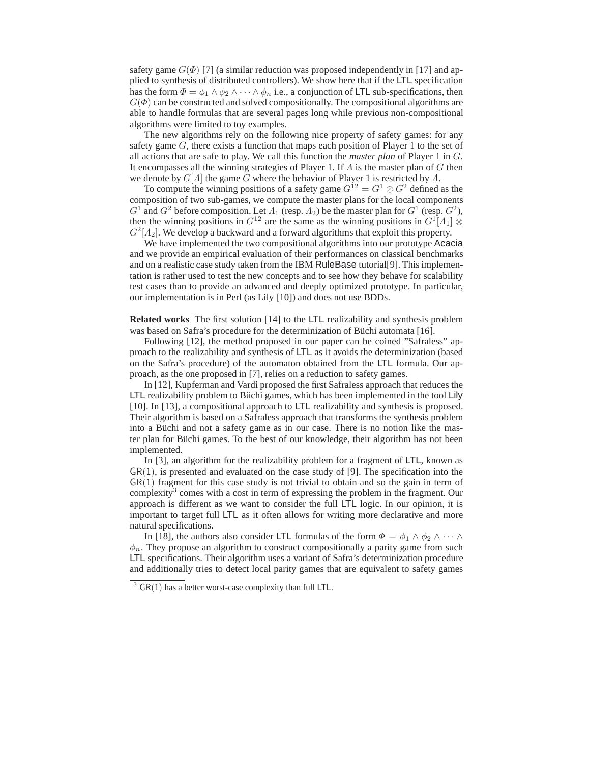safety game  $G(\Phi)$  [7] (a similar reduction was proposed independently in [17] and applied to synthesis of distributed controllers). We show here that if the LTL specification has the form  $\Phi = \phi_1 \wedge \phi_2 \wedge \cdots \wedge \phi_n$  i.e., a conjunction of LTL sub-specifications, then  $G(\Phi)$  can be constructed and solved compositionally. The compositional algorithms are able to handle formulas that are several pages long while previous non-compositional algorithms were limited to toy examples.

The new algorithms rely on the following nice property of safety games: for any safety game  $G$ , there exists a function that maps each position of Player 1 to the set of all actions that are safe to play. We call this function the *master plan* of Player 1 in G. It encompasses all the winning strategies of Player 1. If  $\Lambda$  is the master plan of G then we denote by  $G[A]$  the game G where the behavior of Player 1 is restricted by  $\Lambda$ .

To compute the winning positions of a safety game  $G^{12} = G^1 \otimes G^2$  defined as the composition of two sub-games, we compute the master plans for the local components  $G^1$  and  $G^2$  before composition. Let  $\Lambda_1$  (resp.  $\Lambda_2$ ) be the master plan for  $G^1$  (resp.  $G^2$ ), then the winning positions in  $G^{12}$  are the same as the winning positions in  $G^{1}[A_1]$  ⊗  $G^2[A_2]$ . We develop a backward and a forward algorithms that exploit this property.

We have implemented the two compositional algorithms into our prototype Acacia and we provide an empirical evaluation of their performances on classical benchmarks and on a realistic case study taken from the IBM RuleBase tutorial[9]. This implementation is rather used to test the new concepts and to see how they behave for scalability test cases than to provide an advanced and deeply optimized prototype. In particular, our implementation is in Perl (as Lily [10]) and does not use BDDs.

**Related works** The first solution [14] to the LTL realizability and synthesis problem was based on Safra's procedure for the determinization of Büchi automata [16].

Following [12], the method proposed in our paper can be coined "Safraless" approach to the realizability and synthesis of LTL as it avoids the determinization (based on the Safra's procedure) of the automaton obtained from the LTL formula. Our approach, as the one proposed in [7], relies on a reduction to safety games.

In [12], Kupferman and Vardi proposed the first Safraless approach that reduces the LTL realizability problem to Büchi games, which has been implemented in the tool Lily [10]. In [13], a compositional approach to LTL realizability and synthesis is proposed. Their algorithm is based on a Safraless approach that transforms the synthesis problem into a Büchi and not a safety game as in our case. There is no notion like the master plan for Büchi games. To the best of our knowledge, their algorithm has not been implemented.

In [3], an algorithm for the realizability problem for a fragment of LTL, known as  $GR(1)$ , is presented and evaluated on the case study of [9]. The specification into the  $GR(1)$  fragment for this case study is not trivial to obtain and so the gain in term of complexity<sup>3</sup> comes with a cost in term of expressing the problem in the fragment. Our approach is different as we want to consider the full LTL logic. In our opinion, it is important to target full LTL as it often allows for writing more declarative and more natural specifications.

In [18], the authors also consider LTL formulas of the form  $\Phi = \phi_1 \wedge \phi_2 \wedge \cdots \wedge \phi_n$  $\phi_n$ . They propose an algorithm to construct compositionally a parity game from such LTL specifications. Their algorithm uses a variant of Safra's determinization procedure and additionally tries to detect local parity games that are equivalent to safety games

 $3$  GR(1) has a better worst-case complexity than full LTL.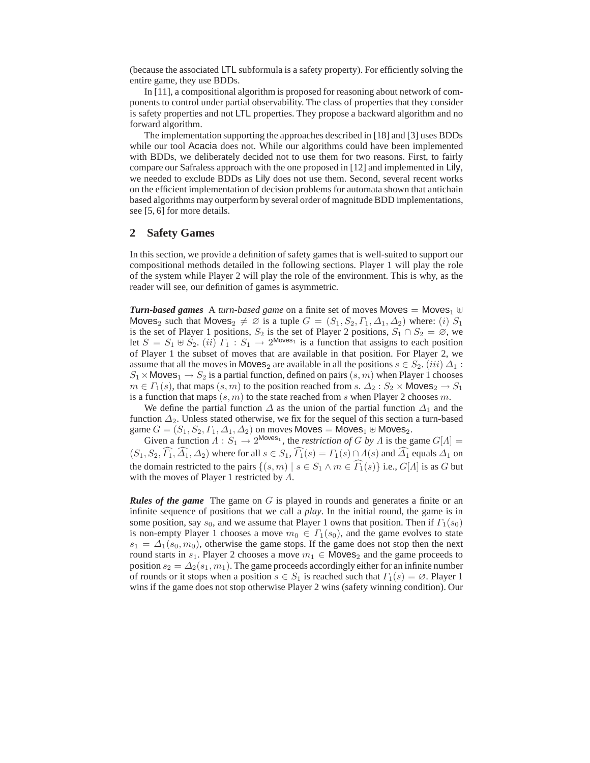(because the associated LTL subformula is a safety property). For efficiently solving the entire game, they use BDDs.

In [11], a compositional algorithm is proposed for reasoning about network of components to control under partial observability. The class of properties that they consider is safety properties and not LTL properties. They propose a backward algorithm and no forward algorithm.

The implementation supporting the approaches described in [18] and [3] uses BDDs while our tool Acacia does not. While our algorithms could have been implemented with BDDs, we deliberately decided not to use them for two reasons. First, to fairly compare our Safraless approach with the one proposed in [12] and implemented in Lily, we needed to exclude BDDs as Lily does not use them. Second, several recent works on the efficient implementation of decision problems for automata shown that antichain based algorithms may outperform by several order of magnitude BDD implementations, see [5, 6] for more details.

#### **2 Safety Games**

In this section, we provide a definition of safety games that is well-suited to support our compositional methods detailed in the following sections. Player 1 will play the role of the system while Player 2 will play the role of the environment. This is why, as the reader will see, our definition of games is asymmetric.

*Turn-based games* A *turn-based game* on a finite set of moves Moves = Moves<sub>1</sub> ⊎ Moves<sub>2</sub> such that Moves<sub>2</sub>  $\neq \emptyset$  is a tuple  $G = (S_1, S_2, \Gamma_1, \Delta_1, \Delta_2)$  where: (i)  $S_1$ is the set of Player 1 positions,  $S_2$  is the set of Player 2 positions,  $S_1 \cap S_2 = \emptyset$ , we let  $S = S_1 \oplus S_2$ .  $(ii)$   $\Gamma_1 : S_1 \to 2^{\text{Moves}_1}$  is a function that assigns to each position of Player 1 the subset of moves that are available in that position. For Player 2, we assume that all the moves in Moves<sub>2</sub> are available in all the positions  $s \in S_2$ . (iii)  $\Delta_1$ :  $S_1 \times$ Moves<sub>1</sub>  $\rightarrow$   $S_2$  is a partial function, defined on pairs  $(s, m)$  when Player 1 chooses  $m \in \Gamma_1(s)$ , that maps  $(s, m)$  to the position reached from  $s \colon \Delta_2 : S_2 \times \textsf{Moves}_2 \to S_1$ is a function that maps  $(s, m)$  to the state reached from s when Player 2 chooses m.

We define the partial function  $\Delta$  as the union of the partial function  $\Delta_1$  and the function  $\Delta_2$ . Unless stated otherwise, we fix for the sequel of this section a turn-based game  $G = (S_1, S_2, \Gamma_1, \Delta_1, \Delta_2)$  on moves Moves  $=$  Moves<sub>1</sub>  $\uplus$  Moves<sub>2</sub>.

Given a function  $\Lambda : S_1 \to 2^{\text{Moves}_1}$ , the *restriction of G by*  $\Lambda$  is the game  $G[\Lambda] =$  $(S_1, S_2, \widehat{T_1}, \widehat{\Delta_1}, \Delta_2)$  where for all  $s \in S_1$ ,  $\widehat{T_1}(s) = T_1(s) \cap \Lambda(s)$  and  $\widehat{\Delta_1}$  equals  $\Delta_1$  on the domain restricted to the pairs  $\{(s, m) | s \in S_1 \land m \in \widehat{F_1}(s)\}\)$ .e.,  $G[A]$  is as G but with the moves of Player 1 restricted by  $\Lambda$ .

*Rules of the game* The game on G is played in rounds and generates a finite or an infinite sequence of positions that we call a *play*. In the initial round, the game is in some position, say  $s_0$ , and we assume that Player 1 owns that position. Then if  $\Gamma_1(s_0)$ is non-empty Player 1 chooses a move  $m_0 \in \Gamma_1(s_0)$ , and the game evolves to state  $s_1 = \Delta_1(s_0, m_0)$ , otherwise the game stops. If the game does not stop then the next round starts in  $s_1$ . Player 2 chooses a move  $m_1 \in \text{Moves}_2$  and the game proceeds to position  $s_2 = \Delta_2(s_1, m_1)$ . The game proceeds accordingly either for an infinite number of rounds or it stops when a position  $s \in S_1$  is reached such that  $\Gamma_1(s) = \emptyset$ . Player 1 wins if the game does not stop otherwise Player 2 wins (safety winning condition). Our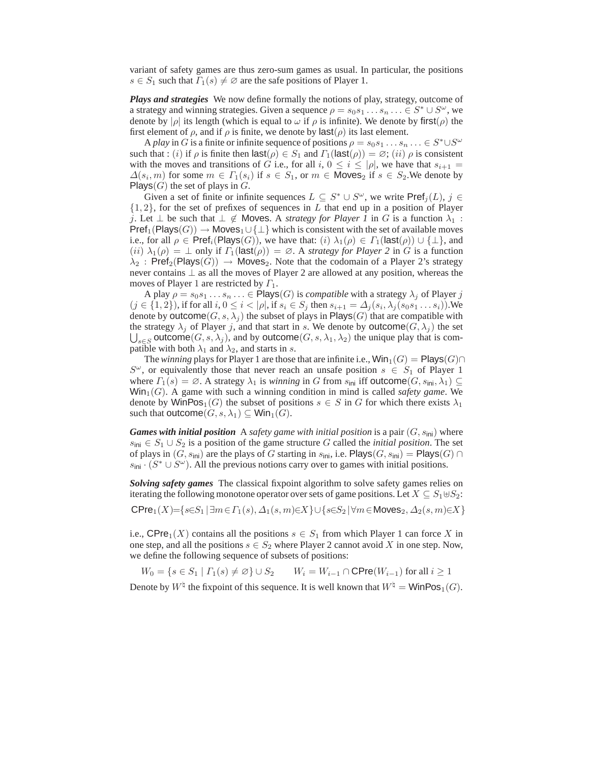variant of safety games are thus zero-sum games as usual. In particular, the positions  $s \in S_1$  such that  $\Gamma_1(s) \neq \emptyset$  are the safe positions of Player 1.

*Plays and strategies* We now define formally the notions of play, strategy, outcome of a strategy and winning strategies. Given a sequence  $\rho = s_0 s_1 \dots s_n \dots \in S^* \cup S^{\omega}$ , we denote by  $|\rho|$  its length (which is equal to  $\omega$  if  $\rho$  is infinite). We denote by first( $\rho$ ) the first element of  $\rho$ , and if  $\rho$  is finite, we denote by  $\textsf{last}(\rho)$  its last element.

A *play* in G is a finite or infinite sequence of positions  $\rho = s_0 s_1 \dots s_n \dots \in S^* \cup S^{\omega}$ such that : (i) if  $\rho$  is finite then  $\textsf{last}(\rho) \in S_1$  and  $\Gamma_1(\textsf{last}(\rho)) = \emptyset$ ; (ii)  $\rho$  is consistent with the moves and transitions of G i.e., for all i,  $0 \le i \le |\rho|$ , we have that  $s_{i+1} =$  $\Delta(s_i, m)$  for some  $m \in \Gamma_1(s_i)$  if  $s \in S_1$ , or  $m \in \mathsf{Moves}_2$  if  $s \in S_2$ . We denote by Plays $(G)$  the set of plays in  $G$ .

Given a set of finite or infinite sequences  $L \subseteq S^* \cup S^{\omega}$ , we write  $\textsf{Pref}_j(L)$ ,  $j \in$  $\{1, 2\}$ , for the set of prefixes of sequences in L that end up in a position of Player *j*. Let  $\bot$  be such that  $\bot \notin$  Moves. A *strategy for Player 1* in G is a function  $\lambda_1$  :  $\mathsf{Pref}_1(\mathsf{Plays}(G)) \to \mathsf{Moves}_1 \cup \{\perp\}$  which is consistent with the set of available moves i.e., for all  $\rho \in \text{Pref}_i(\text{Plays}(G))$ , we have that:  $(i)$   $\lambda_1(\rho) \in \Gamma_1(\text{last}(\rho)) \cup \{\perp\}$ , and  $(iii)$   $\lambda_1(\rho) = \bot$  only if  $\Gamma_1(\textsf{last}(\rho)) = \emptyset$ . A *strategy for Player* 2 in G is a function  $\lambda_2$ : Pref<sub>2</sub>(Plays(G))  $\rightarrow$  Moves<sub>2</sub>. Note that the codomain of a Player 2's strategy never contains ⊥ as all the moves of Player 2 are allowed at any position, whereas the moves of Player 1 are restricted by  $\Gamma_1$ .

A play  $\rho = s_0 s_1 \dots s_n \dots \in \text{Plays}(G)$  is *compatible* with a strategy  $\lambda_j$  of Player j  $(j \in \{1, 2\})$ , if for all  $i, 0 \le i < |\rho|$ , if  $s_i \in S_j$  then  $s_{i+1} = \Delta_j(s_i, \lambda_j(s_0s_1 \ldots s_i))$ . We denote by outcome  $(G, s, \lambda_j)$  the subset of plays in Plays  $(G)$  that are compatible with the strategy  $\lambda_j$  of Player j, and that start in s. We denote by outcome $(G, \lambda_j)$  the set  $\bigcup_{s \in S}$  outcome $(G, s, \lambda_j)$ , and by outcome $(G, s, \lambda_1, \lambda_2)$  the unique play that is compatible with both  $\lambda_1$  and  $\lambda_2$ , and starts in s.

The *winning* plays for Player 1 are those that are infinite i.e.,  $\text{Win}_1(G) = \text{Plays}(G) \cap$  $S^{\omega}$ , or equivalently those that never reach an unsafe position  $s \in S_1$  of Player 1 where  $\Gamma_1(s) = \emptyset$ . A strategy  $\lambda_1$  is *winning* in G from  $s_{\text{ini}}$  iff **outcome** $(G, s_{\text{ini}}, \lambda_1) \subseteq$  $Win<sub>1</sub>(G)$ . A game with such a winning condition in mind is called *safety game*. We denote by WinPos<sub>1</sub>(G) the subset of positions  $s \in S$  in G for which there exists  $\lambda_1$ such that  $\text{outcome}(G, s, \lambda_1) \subseteq \text{Win}_1(G)$ .

*Games with initial position* A *safety game with initial position* is a pair  $(G, s_{\text{ini}})$  where  $s_{\text{ini}}$  ∈  $S_1$  ∪  $S_2$  is a position of the game structure G called the *initial position*. The set of plays in  $(G, s_{\text{ini}})$  are the plays of G starting in  $s_{\text{ini}}$ , i.e. Plays $(G, s_{\text{ini}}) =$  Plays $(G) \cap$  $s_{\text{ini}} \cdot (S^* \cup S^{\omega})$ . All the previous notions carry over to games with initial positions.

*Solving safety games* The classical fixpoint algorithm to solve safety games relies on iterating the following monotone operator over sets of game positions. Let  $X \subseteq S_1 \oplus S_2$ :

 $\mathsf{CPre}_1(X)=\{s\in S_1\mid \exists m\in\Gamma_1(s),\Delta_1(s,m)\in X\}\cup\{s\in S_2\mid \forall m\in\mathsf{Moves}_2,\Delta_2(s,m)\in X\}$ 

i.e., CPre<sub>1</sub>(X) contains all the positions  $s \in S_1$  from which Player 1 can force X in one step, and all the positions  $s \in S_2$  where Player 2 cannot avoid X in one step. Now, we define the following sequence of subsets of positions:

$$
W_0 = \{ s \in S_1 \mid \Gamma_1(s) \neq \emptyset \} \cup S_2 \qquad W_i = W_{i-1} \cap \textbf{CPre}(W_{i-1}) \text{ for all } i \geq 1
$$

Denote by  $W^{\natural}$  the fixpoint of this sequence. It is well known that  $W^{\natural} = \mathsf{WinPos}_1(G)$ .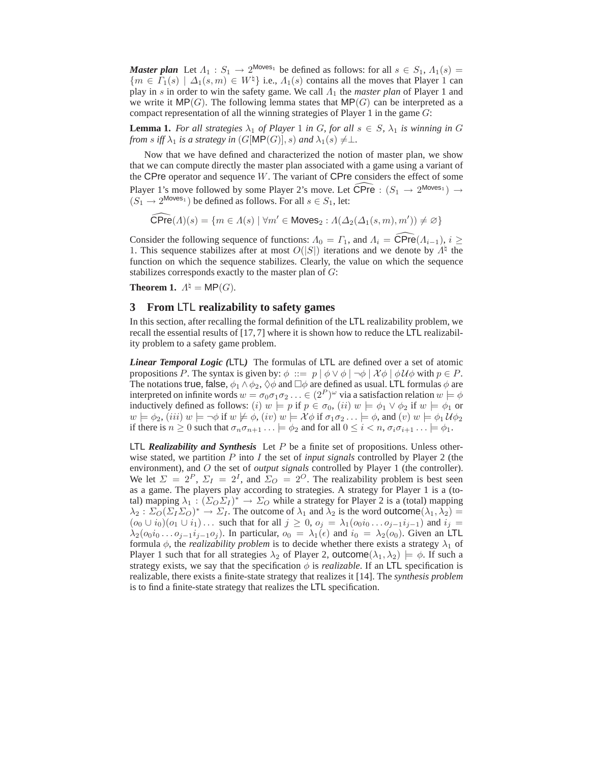*Master plan* Let  $\Lambda_1 : S_1 \to 2^{\text{Moves}_1}$  be defined as follows: for all  $s \in S_1$ ,  $\Lambda_1(s) =$  ${m \in \Gamma_1(s) \mid \Delta_1(s,m) \in W^{\natural}}$  i.e.,  $\Lambda_1(s)$  contains all the moves that Player 1 can play in s in order to win the safety game. We call Λ<sup>1</sup> the *master plan* of Player 1 and we write it  $\mathsf{MP}(G)$ . The following lemma states that  $\mathsf{MP}(G)$  can be interpreted as a compact representation of all the winning strategies of Player 1 in the game G:

**Lemma 1.** For all strategies  $\lambda_1$  of Player 1 in G, for all  $s \in S$ ,  $\lambda_1$  is winning in G *from* s iff  $\lambda_1$  *is a strategy in* (G[MP(G)], s) and  $\lambda_1(s) \neq \perp$ .

Now that we have defined and characterized the notion of master plan, we show that we can compute directly the master plan associated with a game using a variant of the CPre operator and sequence  $W$ . The variant of CPre considers the effect of some Player 1's move followed by some Player 2's move. Let  $\widehat{\text{CPre}} : (S_1 \rightarrow 2^{\text{Moves}_1}) \rightarrow$  $(S_1 \rightarrow 2^{\text{Moves}_1})$  be defined as follows. For all  $s \in S_1$ , let:

$$
\widehat{\mathsf{CPre}}(\Lambda)(s) = \{ m \in \Lambda(s) \mid \forall m' \in \mathsf{Moves}_2 : \Lambda(\Delta_2(\Delta_1(s, m), m')) \neq \varnothing \}
$$

Consider the following sequence of functions:  $\Lambda_0 = \Gamma_1$ , and  $\Lambda_i = \widehat{\mathsf{CPre}}(\Lambda_{i-1}), i \geq 1$ 1. This sequence stabilizes after at most  $O(|S|)$  iterations and we denote by  $\Lambda^{\natural}$  the function on which the sequence stabilizes. Clearly, the value on which the sequence stabilizes corresponds exactly to the master plan of G:

**Theorem 1.**  $A^{\natural} = \mathsf{MP}(G)$ .

#### **3 From** LTL **realizability to safety games**

In this section, after recalling the formal definition of the LTL realizability problem, we recall the essential results of [17, 7] where it is shown how to reduce the LTL realizability problem to a safety game problem.

*Linear Temporal Logic (*LTL*)* The formulas of LTL are defined over a set of atomic propositions P. The syntax is given by:  $\phi ::= p | \phi \vee \phi | \neg \phi | \mathcal{X} \phi | \phi \mathcal{U} \phi$  with  $p \in P$ . The notations true, false,  $\phi_1 \wedge \phi_2$ ,  $\Diamond \phi$  and  $\Box \phi$  are defined as usual. LTL formulas  $\phi$  are interpreted on infinite words  $w = \sigma_0 \sigma_1 \sigma_2 \ldots \in (2^P)^\omega$  via a satisfaction relation  $w \models \phi$ inductively defined as follows: (i)  $w \models p$  if  $p \in \sigma_0$ , (ii)  $w \models \phi_1 \lor \phi_2$  if  $w \models \phi_1$  or  $w \models \phi_2$ ,  $(iii)$   $w \models \neg \phi$  if  $w \not\models \phi$ ,  $(iv)$   $w \models \mathcal{X} \phi$  if  $\sigma_1 \sigma_2 \ldots \models \phi$ , and  $(v)$   $w \models \phi_1 \mathcal{U} \phi_2$ if there is  $n \geq 0$  such that  $\sigma_n \sigma_{n+1} \ldots \models \phi_2$  and for all  $0 \leq i < n$ ,  $\sigma_i \sigma_{i+1} \ldots \models \phi_1$ .

LTL *Realizability and Synthesis* Let P be a finite set of propositions. Unless otherwise stated, we partition P into I the set of *input signals* controlled by Player 2 (the environment), and O the set of *output signals* controlled by Player 1 (the controller). We let  $\Sigma = 2^P$ ,  $\Sigma_I = 2^I$ , and  $\Sigma_O = 2^O$ . The realizability problem is best seen as a game. The players play according to strategies. A strategy for Player 1 is a (total) mapping  $\lambda_1 : (\Sigma_O \overline{\Sigma_I})^* \to \Sigma_O$  while a strategy for Player 2 is a (total) mapping  $\lambda_2 : \Sigma_O(\Sigma_I \Sigma_O)^* \to \Sigma_I$ . The outcome of  $\lambda_1$  and  $\lambda_2$  is the word outcome  $(\lambda_1, \lambda_2) =$  $(o_0 \cup i_0)(o_1 \cup i_1) \dots$  such that for all  $j \ge 0$ ,  $o_j = \lambda_1(o_0 i_0 \dots o_{j-1} i_{j-1})$  and  $i_j =$  $\lambda_2(o_0i_0 \ldots o_{j-1}i_{j-1}o_j)$ . In particular,  $o_0 = \lambda_1(\epsilon)$  and  $i_0 = \lambda_2(o_0)$ . Given an LTL formula  $\phi$ , the *realizability problem* is to decide whether there exists a strategy  $\lambda_1$  of Player 1 such that for all strategies  $\lambda_2$  of Player 2, outcome $(\lambda_1, \lambda_2) \models \phi$ . If such a strategy exists, we say that the specification  $\phi$  is *realizable*. If an LTL specification is realizable, there exists a finite-state strategy that realizes it [14]. The *synthesis problem* is to find a finite-state strategy that realizes the LTL specification.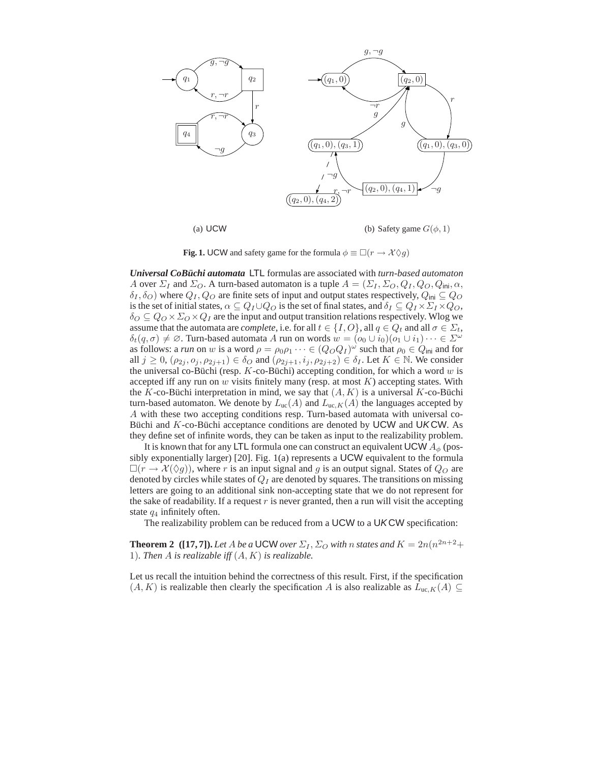

**Fig. 1.** UCW and safety game for the formula  $\phi \equiv \Box(r \rightarrow \chi \Diamond g)$ 

*Universal CoBüchi automata* LTL formulas are associated with *turn-based automaton* A over  $\Sigma_I$  and  $\Sigma_O$ . A turn-based automaton is a tuple  $A = (\Sigma_I, \Sigma_O, Q_I, Q_O, Q_{\text{ini}}, \alpha, \gamma)$  $\delta_I, \delta_O$ ) where  $Q_I, Q_O$  are finite sets of input and output states respectively,  $Q_{\text{ini}} \subseteq Q_O$ is the set of initial states,  $\alpha \subseteq Q_I \cup Q_O$  is the set of final states, and  $\delta_I \subseteq Q_I \times \Sigma_I \times Q_O$ ,  $\delta_O \subseteq Q_O \times \Sigma_O \times Q_I$  are the input and output transition relations respectively. Wlog we assume that the automata are *complete*, i.e. for all  $t \in \{I, O\}$ , all  $q \in Q_t$  and all  $\sigma \in \Sigma_t$ ,  $\delta_t(q,\sigma) \neq \emptyset$ . Turn-based automata A run on words  $w = (o_0 \cup i_0)(o_1 \cup i_1) \cdots \in \Sigma^{\omega}$ as follows: a *run* on w is a word  $\rho = \rho_0 \rho_1 \cdots \in (Q_O Q_I)^\omega$  such that  $\rho_0 \in Q_{\text{ini}}$  and for all  $j \ge 0$ ,  $(\rho_{2j}, o_j, \rho_{2j+1}) \in \delta_O$  and  $(\rho_{2j+1}, i_j, \rho_{2j+2}) \in \delta_I$ . Let  $K \in \mathbb{N}$ . We consider the universal co-Büchi (resp.  $K$ -co-Büchi) accepting condition, for which a word w is accepted iff any run on  $w$  visits finitely many (resp. at most  $K$ ) accepting states. With the K-co-Büchi interpretation in mind, we say that  $(A, K)$  is a universal K-co-Büchi turn-based automaton. We denote by  $L_{\text{uc}}(A)$  and  $L_{\text{uc}}(A)$  the languages accepted by A with these two accepting conditions resp. Turn-based automata with universal co-Büchi and  $K$ -co-Büchi acceptance conditions are denoted by UCW and UKCW. As they define set of infinite words, they can be taken as input to the realizability problem.

It is known that for any LTL formula one can construct an equivalent UCW  $A_{\phi}$  (possibly exponentially larger) [20]. Fig. 1(a) represents a UCW equivalent to the formula  $\Box(r \to \mathcal{X}(\Diamond g))$ , where r is an input signal and g is an output signal. States of  $Q_O$  are denoted by circles while states of  $Q_I$  are denoted by squares. The transitions on missing letters are going to an additional sink non-accepting state that we do not represent for the sake of readability. If a request  $r$  is never granted, then a run will visit the accepting state  $q_4$  infinitely often.

The realizability problem can be reduced from a UCW to a UKCW specification:

**Theorem 2** ([17,7]). Let A be a UCW over  $\Sigma_I$ ,  $\Sigma_O$  with n states and  $K = 2n(n^{2n+2} +$ 1)*. Then* A *is realizable iff* (A, K) *is realizable.*

Let us recall the intuition behind the correctness of this result. First, if the specification  $(A, K)$  is realizable then clearly the specification A is also realizable as  $L_{uc, K}(A) \subseteq$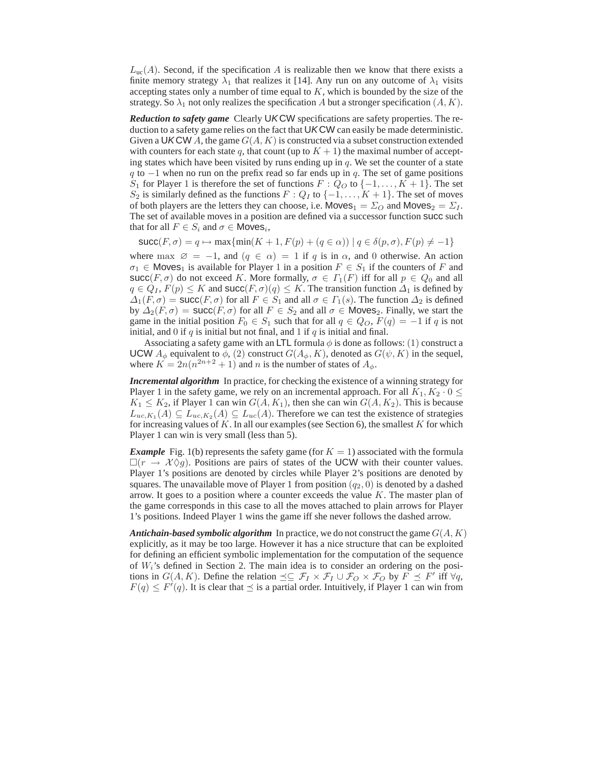$L_{uc}(A)$ . Second, if the specification A is realizable then we know that there exists a finite memory strategy  $\lambda_1$  that realizes it [14]. Any run on any outcome of  $\lambda_1$  visits accepting states only a number of time equal to  $K$ , which is bounded by the size of the strategy. So  $\lambda_1$  not only realizes the specification A but a stronger specification  $(A, K)$ .

*Reduction to safety game* Clearly UKCW specifications are safety properties. The reduction to a safety game relies on the fact that  $UKCW$  can easily be made deterministic. Given a UKCW A, the game  $G(A, K)$  is constructed via a subset construction extended with counters for each state q, that count (up to  $K + 1$ ) the maximal number of accepting states which have been visited by runs ending up in  $q$ . We set the counter of a state  $q$  to  $-1$  when no run on the prefix read so far ends up in q. The set of game positions S<sub>1</sub> for Player 1 is therefore the set of functions  $F: Q_O$  to  $\{-1, \ldots, K+1\}$ . The set S<sub>2</sub> is similarly defined as the functions  $F: Q_I$  to  $\{-1, \ldots, K+1\}$ . The set of moves of both players are the letters they can choose, i.e. Moves<sub>1</sub> =  $\Sigma_O$  and Moves<sub>2</sub> =  $\Sigma_I$ . The set of available moves in a position are defined via a successor function succ such that for all  $F \in S_i$  and  $\sigma \in \textsf{Moves}_i$ ,

 $succ(F, \sigma) = q \mapsto max\{min(K + 1, F(p) + (q \in \alpha)) | q \in \delta(p, \sigma), F(p) \neq -1\}$ 

where max  $\varnothing = -1$ , and  $(q \in \alpha) = 1$  if q is in  $\alpha$ , and 0 otherwise. An action  $\sigma_1 \in \text{Moves}_1$  is available for Player 1 in a position  $F \in S_1$  if the counters of F and succ(F,  $\sigma$ ) do not exceed K. More formally,  $\sigma \in \Gamma_1(F)$  iff for all  $p \in Q_0$  and all  $q \in Q_I$ ,  $F(p) \leq K$  and  $succ(F, \sigma)(q) \leq K$ . The transition function  $\Delta_1$  is defined by  $\Delta_1(F,\sigma)$  = succ $(F,\sigma)$  for all  $F \in S_1$  and all  $\sigma \in \Gamma_1(s)$ . The function  $\Delta_2$  is defined by  $\Delta_2(F, \sigma) =$  succ $(F, \sigma)$  for all  $F \in S_2$  and all  $\sigma \in$  Moves<sub>2</sub>. Finally, we start the game in the initial position  $F_0 \in S_1$  such that for all  $q \in Q_O$ ,  $F(q) = -1$  if q is not initial, and 0 if  $q$  is initial but not final, and 1 if  $q$  is initial and final.

Associating a safety game with an LTL formula  $\phi$  is done as follows: (1) construct a UCW  $A_{\phi}$  equivalent to  $\phi$ , (2) construct  $G(A_{\phi}, K)$ , denoted as  $G(\psi, K)$  in the sequel, where  $K = 2n(n^{2n+2} + 1)$  and n is the number of states of  $A_{\phi}$ .

*Incremental algorithm* In practice, for checking the existence of a winning strategy for Player 1 in the safety game, we rely on an incremental approach. For all  $K_1, K_2 \cdot 0 \leq$  $K_1 \leq K_2$ , if Player 1 can win  $G(A, K_1)$ , then she can win  $G(A, K_2)$ . This is because  $L_{uc,K_1}(A) \subseteq L_{uc,K_2}(A) \subseteq L_{uc}(A)$ . Therefore we can test the existence of strategies for increasing values of  $K$ . In all our examples (see Section 6), the smallest  $K$  for which Player 1 can win is very small (less than 5).

*Example* Fig. 1(b) represents the safety game (for  $K = 1$ ) associated with the formula  $\Box(r \rightarrow \chi \Diamond q)$ . Positions are pairs of states of the UCW with their counter values. Player 1's positions are denoted by circles while Player 2's positions are denoted by squares. The unavailable move of Player 1 from position  $(q_2, 0)$  is denoted by a dashed arrow. It goes to a position where a counter exceeds the value  $K$ . The master plan of the game corresponds in this case to all the moves attached to plain arrows for Player 1's positions. Indeed Player 1 wins the game iff she never follows the dashed arrow.

*Antichain-based symbolic algorithm* In practice, we do not construct the game  $G(A, K)$ explicitly, as it may be too large. However it has a nice structure that can be exploited for defining an efficient symbolic implementation for the computation of the sequence of  $W<sub>i</sub>$ 's defined in Section 2. The main idea is to consider an ordering on the positions in  $G(A, K)$ . Define the relation  $\preceq \subseteq \mathcal{F}_I \times \mathcal{F}_I \cup \mathcal{F}_O \times \mathcal{F}_O$  by  $F \preceq F'$  iff  $\forall q$ ,  $F(q) \leq F'(q)$ . It is clear that  $\preceq$  is a partial order. Intuitively, if Player 1 can win from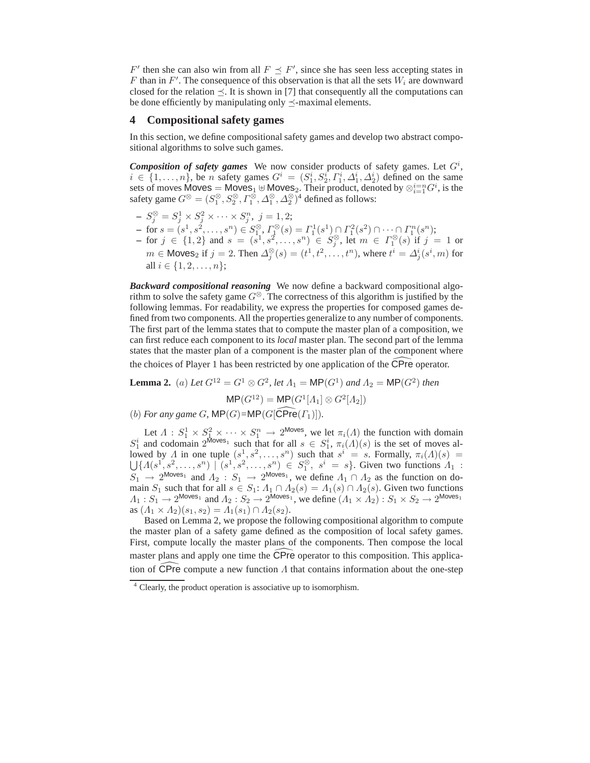$F'$  then she can also win from all  $F \preceq F'$ , since she has seen less accepting states in F than in F'. The consequence of this observation is that all the sets  $W_i$  are downward closed for the relation  $\prec$ . It is shown in [7] that consequently all the computations can be done efficiently by manipulating only  $\prec$ -maximal elements.

#### **4 Compositional safety games**

In this section, we define compositional safety games and develop two abstract compositional algorithms to solve such games.

**Composition of safety games** We now consider products of safety games. Let  $G^i$ ,  $i \in \{1, \ldots, n\}$ , be *n* safety games  $G^i = (S_1^i, S_2^i, \Gamma_1^i, \Delta_1^i, \Delta_2^i)$  defined on the same sets of moves  $M$ oves  $= M$ oves<sub>1</sub>  $\oplus M$ oves<sub>2</sub>. Their product, denoted by  $\otimes_{i=1}^{i=n} G^i$ , is the safety game  $G^{\otimes} = (S_1^{\otimes}, S_2^{\otimes}, \Gamma_1^{\bar{\otimes}}, \Delta_1^{\otimes}, \Delta_2^{\otimes})^4$  defined as follows:

- $-S_j^{\otimes} = S_j^1 \times S_j^2 \times \cdots \times S_j^n, \ j = 1, 2;$
- $\mathcal{I} = \text{ for } s = (s^1, s^2, \dots, s^n) \in S_1^{\otimes}, \Gamma_1^{\otimes}(s) = \Gamma_1^1(s^1) \cap \Gamma_1^2(s^2) \cap \cdots \cap \Gamma_1^n(s^n);$
- **–** for  $j \in \{1,2\}$  and  $s = (s^1, s^2, \ldots, s^n)$  ∈  $s_j^{\otimes}$ , let  $m \in \Gamma_1^{\otimes}(s)$  if  $j = 1$  or  $m \in \text{Moves}_2$  if  $j = 2$ . Then  $\Delta_j^{\otimes}(s) = (t^1, t^2, \dots, t^n)$ , where  $t^i = \Delta_j^i(s^i, m)$  for all  $i \in \{1, 2, ..., n\};$

*Backward compositional reasoning* We now define a backward compositional algorithm to solve the safety game  $G^{\otimes}$ . The correctness of this algorithm is justified by the following lemmas. For readability, we express the properties for composed games defined from two components. All the properties generalize to any number of components. The first part of the lemma states that to compute the master plan of a composition, we can first reduce each component to its *local* master plan. The second part of the lemma states that the master plan of a component is the master plan of the component where the choices of Player 1 has been restricted by one application of the CPre operator.

**Lemma 2.** (a) Let  $G^{12} = G^1 \otimes G^2$ , let  $\Lambda_1 = \mathsf{MP}(G^1)$  and  $\Lambda_2 = \mathsf{MP}(G^2)$  then  $\mathsf{MP}(G^{12}) = \mathsf{MP}(G^1[A_1] \otimes G^2[A_2])$ 

(b) *For any game G*,  $\mathsf{MP}(G) = \mathsf{MP}(G[\widehat{\mathsf{CPre}}(T_1)]).$ 

Let  $\Lambda: S_1^1 \times S_1^2 \times \cdots \times S_1^n \to 2^{\text{Moves}}$ , we let  $\pi_i(\Lambda)$  the function with domain  $S_1^i$  and codomain  $2^{\text{Moves}_1}$  such that for all  $s \in S_1^i$ ,  $\pi_i(A)(s)$  is the set of moves allowed by  $\Lambda$  in one tuple  $(s^1, s^2, \ldots, s^n)$  such that s  $\overline{\phantom{a}}$  $i = s$ . Formally,  $\pi_i(\Lambda)(s) =$  ${A(s^1, s^2, \ldots, s^n) | (s^1, s^2, \ldots, s^n) \in S_1^{\otimes}, s^i = s}.$  Given two functions  $A_1$ :  $S_1 \rightarrow 2^{\text{Moves}_1}$  and  $A_2 : S_1 \rightarrow 2^{\text{Moves}_1}$ , we define  $A_1 \cap A_2$  as the function on domain  $S_1$  such that for all  $s \in S_1: \Lambda_1 \cap \Lambda_2(s) = \Lambda_1(s) \cap \Lambda_2(s)$ . Given two functions  $A_1: S_1 \to 2^{\text{Moves}_1}$  and  $A_2: S_2 \to 2^{\text{Moves}_1}$ , we define  $(A_1 \times A_2): S_1 \times S_2 \to 2^{\text{Moves}_1}$ as  $(A_1 \times A_2)(s_1, s_2) = A_1(s_1) \cap A_2(s_2)$ .

Based on Lemma 2, we propose the following compositional algorithm to compute the master plan of a safety game defined as the composition of local safety games. First, compute locally the master plans of the components. Then compose the local master plans and apply one time the  $\widehat{C}$ Pre operator to this composition. This application of  $\widehat{C}$ Pre compute a new function  $\Lambda$  that contains information about the one-step

<sup>4</sup> Clearly, the product operation is associative up to isomorphism.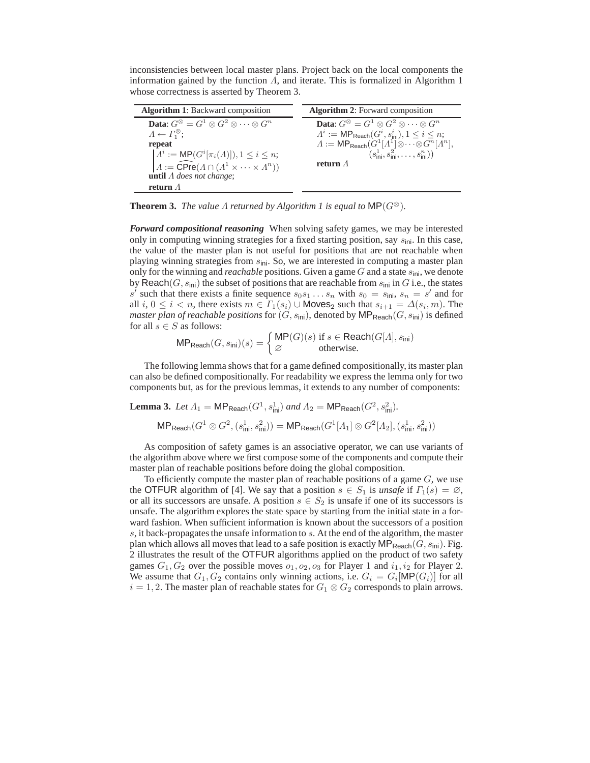inconsistencies between local master plans. Project back on the local components the information gained by the function  $\Lambda$ , and iterate. This is formalized in Algorithm 1 whose correctness is asserted by Theorem 3.

| <b>Algorithm 1:</b> Backward composition                                                                                                                                                                                                                                                                           | <b>Algorithm 2:</b> Forward composition                                                                                                                                                                                                                                                                                                                       |  |  |  |  |  |
|--------------------------------------------------------------------------------------------------------------------------------------------------------------------------------------------------------------------------------------------------------------------------------------------------------------------|---------------------------------------------------------------------------------------------------------------------------------------------------------------------------------------------------------------------------------------------------------------------------------------------------------------------------------------------------------------|--|--|--|--|--|
| <b>Data:</b> $G^{\otimes} = G^1 \otimes G^2 \otimes \cdots \otimes G^n$<br>$\Lambda \leftarrow \Gamma_1^{\otimes};$<br>repeat<br>$\Lambda^i := \text{MP}(G^i[\pi_i(\Lambda)]), 1 \leq i \leq n;$<br>$A := \widehat{\text{CPre}}(A \cap (A^1 \times \cdots \times A^n))$<br><b>until</b> $\Lambda$ does not change; | <b>Data:</b> $G^{\otimes} = G^1 \otimes G^2 \otimes \cdots \otimes G^n$<br>$\Lambda^i := \mathsf{MP}_{\mathsf{Reach}}(G^i, s^i_{\mathsf{ini}}), 1 \leq i \leq n;$<br>$\Lambda := \mathsf{MP}_{\mathsf{Reach}}(G^1[\Lambda^1] \otimes \cdots \otimes G^n[\Lambda^n],$<br>$(s_{\text{ini}}^1, s_{\text{ini}}^2, \ldots, s_{\text{ini}}^n))$<br>return $\Lambda$ |  |  |  |  |  |
| return $\Lambda$                                                                                                                                                                                                                                                                                                   |                                                                                                                                                                                                                                                                                                                                                               |  |  |  |  |  |

**Theorem 3.** *The value A returned by Algorithm 1 is equal to*  $\mathsf{MP}(G^{\otimes})$ *.* 

*Forward compositional reasoning* When solving safety games, we may be interested only in computing winning strategies for a fixed starting position, say  $s_{\text{ini}}$ . In this case, the value of the master plan is not useful for positions that are not reachable when playing winning strategies from  $s_{\text{ini}}$ . So, we are interested in computing a master plan only for the winning and *reachable* positions. Given a game  $G$  and a state  $s_{\text{ini}}$ , we denote by Reach( $G$ ,  $s_{\text{ini}}$ ) the subset of positions that are reachable from  $s_{\text{ini}}$  in  $G$  i.e., the states s' such that there exists a finite sequence  $s_0s_1...s_n$  with  $s_0 = s_{\text{ini}}$ ,  $s_n = s'$  and for all  $i, 0 \le i < n$ , there exists  $m \in \Gamma_1(s_i) \cup \text{Moves}_2$  such that  $s_{i+1} = \Delta(s_i, m)$ . The *master plan of reachable positions* for  $(G, s_{\text{ini}})$ , denoted by  $\mathsf{MP}_{\mathsf{Reach}}(G, s_{\text{ini}})$  is defined for all  $s \in S$  as follows:

$$
\mathsf{MP}_{\mathsf{Reach}}(G, s_{\mathsf{ini}})(s) = \left\{ \begin{aligned} \mathsf{MP}(G)(s) &\text{ if } s \in \mathsf{Reach}(G[A], s_{\mathsf{ini}}) \\ \varnothing &\text{ otherwise.} \end{aligned} \right.
$$

The following lemma shows that for a game defined compositionally, its master plan can also be defined compositionally. For readability we express the lemma only for two components but, as for the previous lemmas, it extends to any number of components:

**Lemma 3.** Let 
$$
\Lambda_1 = \mathsf{MP}_{\mathsf{Reach}}(G^1, s^1_{\mathsf{ini}})
$$
 and  $\Lambda_2 = \mathsf{MP}_{\mathsf{Reach}}(G^2, s^2_{\mathsf{ini}})$ .  
\n $\mathsf{MP}_{\mathsf{Reach}}(G^1 \otimes G^2, (s^1_{\mathsf{ini}}, s^2_{\mathsf{ini}})) = \mathsf{MP}_{\mathsf{Reach}}(G^1[A_1] \otimes G^2[A_2], (s^1_{\mathsf{ini}}, s^2_{\mathsf{ini}}))$ 

As composition of safety games is an associative operator, we can use variants of the algorithm above where we first compose some of the components and compute their master plan of reachable positions before doing the global composition.

To efficiently compute the master plan of reachable positions of a game  $G$ , we use the OTFUR algorithm of [4]. We say that a position  $s \in S_1$  is *unsafe* if  $\Gamma_1(s) = \emptyset$ , or all its successors are unsafe. A position  $s \in S_2$  is unsafe if one of its successors is unsafe. The algorithm explores the state space by starting from the initial state in a forward fashion. When sufficient information is known about the successors of a position s, it back-propagates the unsafe information to s. At the end of the algorithm, the master plan which allows all moves that lead to a safe position is exactly  $\mathsf{MP}_{\mathsf{Reach}}(G, s_{\mathsf{ini}})$ . Fig. 2 illustrates the result of the OTFUR algorithms applied on the product of two safety games  $G_1, G_2$  over the possible moves  $o_1, o_2, o_3$  for Player 1 and  $i_1, i_2$  for Player 2. We assume that  $G_1, G_2$  contains only winning actions, i.e.  $G_i = G_i[\mathsf{MP}(G_i)]$  for all  $i = 1, 2$ . The master plan of reachable states for  $G_1 \otimes G_2$  corresponds to plain arrows.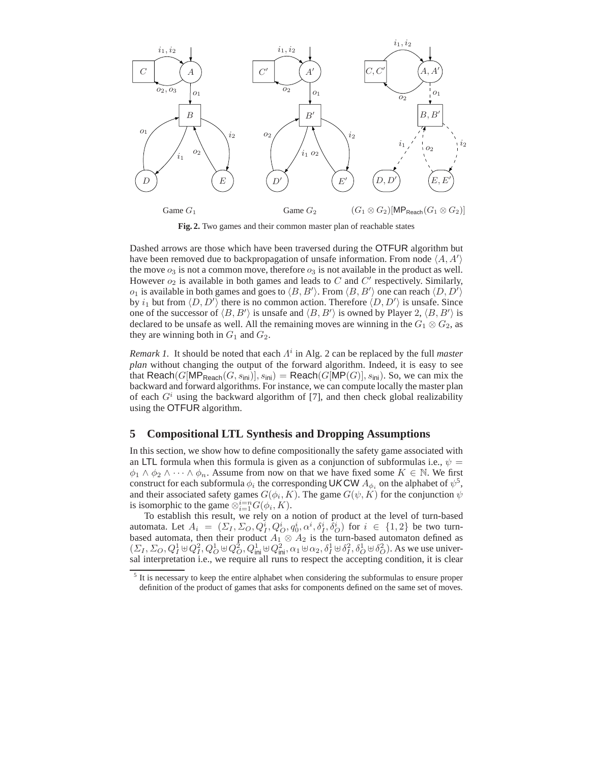

**Fig. 2.** Two games and their common master plan of reachable states

Dashed arrows are those which have been traversed during the OTFUR algorithm but have been removed due to backpropagation of unsafe information. From node  $\langle A, A' \rangle$ the move  $o_3$  is not a common move, therefore  $o_3$  is not available in the product as well. However  $o_2$  is available in both games and leads to C and C' respectively. Similarly,  $o_1$  is available in both games and goes to  $\langle B, B' \rangle$ . From  $\langle B, B' \rangle$  one can reach  $\langle D, D' \rangle$ by  $i_1$  but from  $\langle D, D' \rangle$  there is no common action. Therefore  $\langle D, D' \rangle$  is unsafe. Since one of the successor of  $\langle B, B' \rangle$  is unsafe and  $\langle B, B' \rangle$  is owned by Player 2,  $\langle B, B' \rangle$  is declared to be unsafe as well. All the remaining moves are winning in the  $G_1 \otimes G_2$ , as they are winning both in  $G_1$  and  $G_2$ .

*Remark 1.* It should be noted that each  $\Lambda^i$  in Alg. 2 can be replaced by the full *master plan* without changing the output of the forward algorithm. Indeed, it is easy to see that Reach(G[MP<sub>Reach</sub>(G, s<sub>ini</sub>)], s<sub>ini</sub>) = Reach(G[MP(G)], s<sub>ini</sub>). So, we can mix the backward and forward algorithms. For instance, we can compute locally the master plan of each  $G<sup>i</sup>$  using the backward algorithm of [7], and then check global realizability using the OTFUR algorithm.

#### **5 Compositional LTL Synthesis and Dropping Assumptions**

In this section, we show how to define compositionally the safety game associated with an LTL formula when this formula is given as a conjunction of subformulas i.e.,  $\psi =$  $\phi_1 \wedge \phi_2 \wedge \cdots \wedge \phi_n$ . Assume from now on that we have fixed some  $K \in \mathbb{N}$ . We first construct for each subformula  $\phi_i$  the corresponding UKCW  $A_{\phi_i}$  on the alphabet of  $\psi^5,$ and their associated safety games  $G(\phi_i, K)$ . The game  $G(\psi, K)$  for the conjunction  $\psi$ is isomorphic to the game  $\otimes_{i=1}^{i=n} G(\phi_i, K)$ .

To establish this result, we rely on a notion of product at the level of turn-based automata. Let  $A_i = (\Sigma_I, \Sigma_O, Q_I^i, Q_O^i, q_0^i, \alpha^i, \delta_I^i, \delta_O^i)$  for  $i \in \{1,2\}$  be two turnbased automata, then their product  $A_1 \otimes A_2$  is the turn-based automaton defined as  $(\Sigma_I, \Sigma_O, Q_I^1 \boxplus Q_I^2, Q_O^1 \boxplus Q_O^2, Q_{\text{ini}}^1 \boxplus Q_{\text{ini}}^2, \alpha_1 \boxplus \alpha_2, \delta_I^1 \boxplus \delta_I^2, \delta_O^1 \boxplus \delta_O^2)$ . As we use universal interpretation i.e., we require all runs to respect the accepting condition, it is clear

<sup>5</sup> It is necessary to keep the entire alphabet when considering the subformulas to ensure proper definition of the product of games that asks for components defined on the same set of moves.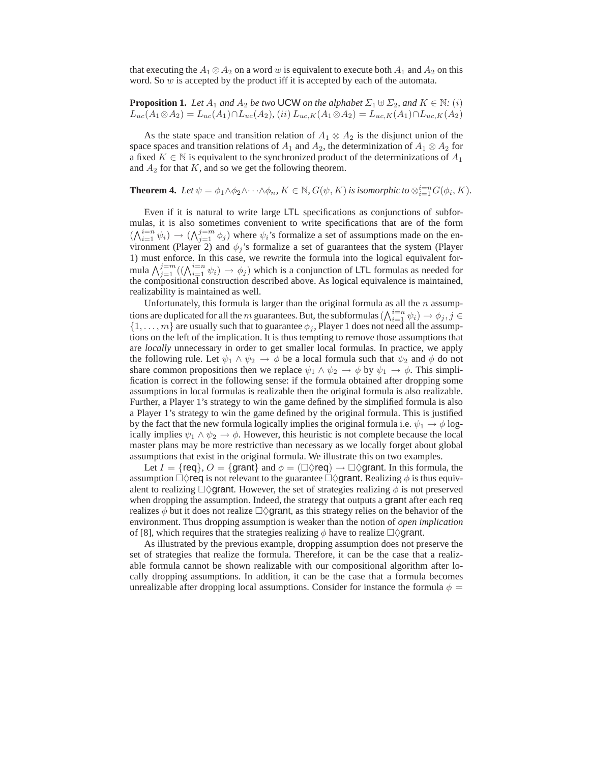that executing the  $A_1 \otimes A_2$  on a word w is equivalent to execute both  $A_1$  and  $A_2$  on this word. So  $w$  is accepted by the product iff it is accepted by each of the automata.

**Proposition 1.** *Let*  $A_1$  *and*  $A_2$  *be two* UCW *on the alphabet*  $\Sigma_1 \oplus \Sigma_2$ *, and*  $K \in \mathbb{N}$ *:* (*i*)  $L_{uc}(A_1 \otimes A_2) = L_{uc}(A_1) \cap L_{uc}(A_2)$ *, (ii)*  $L_{uc,K}(A_1 \otimes A_2) = L_{uc,K}(A_1) \cap L_{uc,K}(A_2)$ 

As the state space and transition relation of  $A_1 \otimes A_2$  is the disjunct union of the space spaces and transition relations of  $A_1$  and  $A_2$ , the determinization of  $A_1 \otimes A_2$  for a fixed  $K \in \mathbb{N}$  is equivalent to the synchronized product of the determinizations of  $A_1$ and  $A_2$  for that  $K$ , and so we get the following theorem.

### **Theorem 4.** Let  $\psi = \phi_1 \wedge \phi_2 \wedge \cdots \wedge \phi_n$ ,  $K \in \mathbb{N}$ ,  $G(\psi, K)$  is isomorphic to  $\otimes_{i=1}^{i=n} G(\phi_i, K)$ .

Even if it is natural to write large LTL specifications as conjunctions of subformulas, it is also sometimes convenient to write specifications that are of the form  $(\bigwedge_{i=1}^{i=n} \psi_i) \to (\bigwedge_{j=1}^{j=m} \phi_j)$  where  $\psi_i$ 's formalize a set of assumptions made on the environment (Player 2) and  $\phi_j$ 's formalize a set of guarantees that the system (Player 1) must enforce. In this case, we rewrite the formula into the logical equivalent formula  $\bigwedge_{j=1}^{j=m} ((\bigwedge_{i=1}^{i=n} \psi_i) \to \phi_j)$  which is a conjunction of LTL formulas as needed for the compositional construction described above. As logical equivalence is maintained, realizability is maintained as well.

Unfortunately, this formula is larger than the original formula as all the  $n$  assumptions are duplicated for all the m guarantees. But, the subformulas  $(\bigwedge_{i=1}^{i=n} \psi_i) \to \phi_j, j \in$  $\{1, \ldots, m\}$  are usually such that to guarantee  $\phi_j$ , Player 1 does not need all the assumptions on the left of the implication. It is thus tempting to remove those assumptions that are *locally* unnecessary in order to get smaller local formulas. In practice, we apply the following rule. Let  $\psi_1 \wedge \psi_2 \rightarrow \phi$  be a local formula such that  $\psi_2$  and  $\phi$  do not share common propositions then we replace  $\psi_1 \wedge \psi_2 \rightarrow \phi$  by  $\psi_1 \rightarrow \phi$ . This simplification is correct in the following sense: if the formula obtained after dropping some assumptions in local formulas is realizable then the original formula is also realizable. Further, a Player 1's strategy to win the game defined by the simplified formula is also a Player 1's strategy to win the game defined by the original formula. This is justified by the fact that the new formula logically implies the original formula i.e.  $\psi_1 \rightarrow \phi$  logically implies  $\psi_1 \wedge \psi_2 \rightarrow \phi$ . However, this heuristic is not complete because the local master plans may be more restrictive than necessary as we locally forget about global assumptions that exist in the original formula. We illustrate this on two examples.

Let  $I = \{ \text{req} \}, O = \{ \text{grant} \}$  and  $\phi = (\Box \Diamond \text{req}) \rightarrow \Box \Diamond \text{grant}$ . In this formula, the assumption  $\Box \Diamond$ req is not relevant to the guarantee  $\Box \Diamond$ grant. Realizing  $\phi$  is thus equivalent to realizing  $\Box \Diamond$ grant. However, the set of strategies realizing  $\phi$  is not preserved when dropping the assumption. Indeed, the strategy that outputs a grant after each req realizes  $\phi$  but it does not realize  $\Box \Diamond$ grant, as this strategy relies on the behavior of the environment. Thus dropping assumption is weaker than the notion of *open implication* of [8], which requires that the strategies realizing  $\phi$  have to realize  $\Box \Diamond$  grant.

As illustrated by the previous example, dropping assumption does not preserve the set of strategies that realize the formula. Therefore, it can be the case that a realizable formula cannot be shown realizable with our compositional algorithm after locally dropping assumptions. In addition, it can be the case that a formula becomes unrealizable after dropping local assumptions. Consider for instance the formula  $\phi =$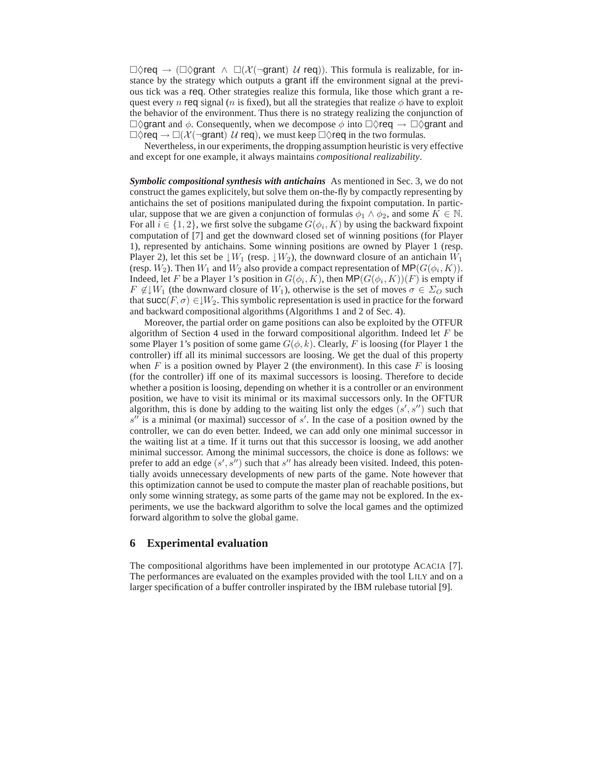$\Box \Diamond \text{req} \rightarrow (\Box \Diamond \text{grant} \land \Box (\mathcal{X}(\neg \text{grant}) \mathcal{U} \text{req})).$  This formula is realizable, for instance by the strategy which outputs a grant iff the environment signal at the previous tick was a req. Other strategies realize this formula, like those which grant a request every n req signal (n is fixed), but all the strategies that realize  $\phi$  have to exploit the behavior of the environment. Thus there is no strategy realizing the conjunction of  $\Box \Diamond$ grant and  $\phi$ . Consequently, when we decompose  $\phi$  into  $\Box \Diamond$ req  $\rightarrow \Box \Diamond$ grant and  $\Box \Diamond \text{req} \rightarrow \Box (\mathcal{X}(\neg \text{grant}) \mathcal{U} \text{req}),$  we must keep  $\Box \Diamond \text{req}$  in the two formulas.

Nevertheless, in our experiments, the dropping assumption heuristic is very effective and except for one example, it always maintains *compositional realizability*.

*Symbolic compositional synthesis with antichains* As mentioned in Sec. 3, we do not construct the games explicitely, but solve them on-the-fly by compactly representing by antichains the set of positions manipulated during the fixpoint computation. In particular, suppose that we are given a conjunction of formulas  $\phi_1 \wedge \phi_2$ , and some  $K \in \mathbb{N}$ . For all  $i \in \{1, 2\}$ , we first solve the subgame  $G(\phi_i, K)$  by using the backward fixpoint computation of [7] and get the downward closed set of winning positions (for Player 1), represented by antichains. Some winning positions are owned by Player 1 (resp. Player 2), let this set be  $\downarrow W_1$  (resp.  $\downarrow W_2$ ), the downward closure of an antichain  $W_1$ (resp.  $W_2$ ). Then  $W_1$  and  $W_2$  also provide a compact representation of  $\mathsf{MP}(G(\phi_i,K)).$ Indeed, let F be a Player 1's position in  $G(\phi_i, K)$ , then  $\mathsf{MP}(G(\phi_i, K))(F)$  is empty if  $F \notin W_1$  (the downward closure of  $W_1$ ), otherwise is the set of moves  $\sigma \in \Sigma_O$  such that  $succ(F, \sigma) \in \downarrow W_2$ . This symbolic representation is used in practice for the forward and backward compositional algorithms (Algorithms 1 and 2 of Sec. 4).

Moreover, the partial order on game positions can also be exploited by the OTFUR algorithm of Section 4 used in the forward compositional algorithm. Indeed let  $F$  be some Player 1's position of some game  $G(\phi, k)$ . Clearly, F is loosing (for Player 1 the controller) iff all its minimal successors are loosing. We get the dual of this property when F is a position owned by Player 2 (the environment). In this case F is loosing (for the controller) iff one of its maximal successors is loosing. Therefore to decide whether a position is loosing, depending on whether it is a controller or an environment position, we have to visit its minimal or its maximal successors only. In the OFTUR algorithm, this is done by adding to the waiting list only the edges  $(s', s'')$  such that  $s''$  is a minimal (or maximal) successor of  $s'$ . In the case of a position owned by the controller, we can do even better. Indeed, we can add only one minimal successor in the waiting list at a time. If it turns out that this successor is loosing, we add another minimal successor. Among the minimal successors, the choice is done as follows: we prefer to add an edge  $(s', s'')$  such that  $s''$  has already been visited. Indeed, this potentially avoids unnecessary developments of new parts of the game. Note however that this optimization cannot be used to compute the master plan of reachable positions, but only some winning strategy, as some parts of the game may not be explored. In the experiments, we use the backward algorithm to solve the local games and the optimized forward algorithm to solve the global game.

#### **6 Experimental evaluation**

The compositional algorithms have been implemented in our prototype ACACIA [7]. The performances are evaluated on the examples provided with the tool LILY and on a larger specification of a buffer controller inspirated by the IBM rulebase tutorial [9].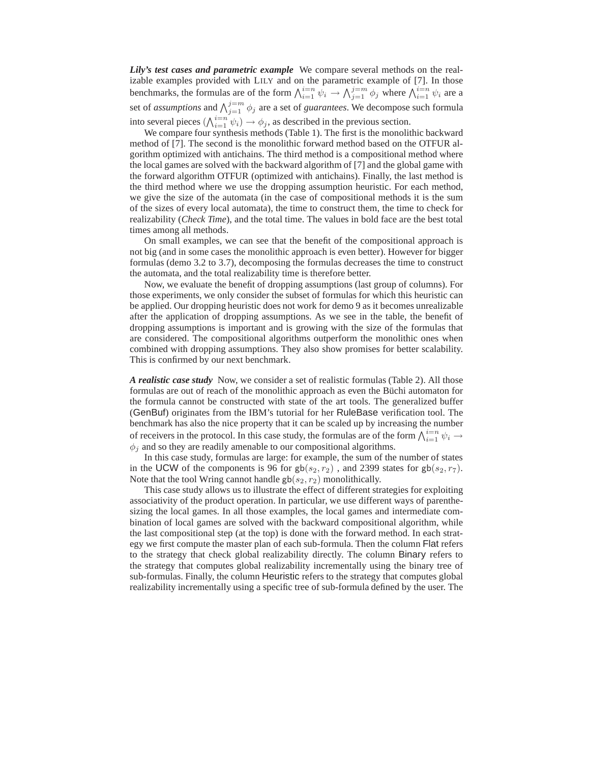*Lily's test cases and parametric example* We compare several methods on the realizable examples provided with LILY and on the parametric example of [7]. In those benchmarks, the formulas are of the form  $\bigwedge_{i=1}^{i=n} \psi_i \to \bigwedge_{j=1}^{j=m} \phi_j$  where  $\bigwedge_{i=1}^{i=n} \psi_i$  are a set of *assumptions* and  $\bigwedge_{j=1}^{j=m} \phi_j$  are a set of *guarantees*. We decompose such formula into several pieces  $(\bigwedge_{i=1}^{i=n} \psi_i) \to \phi_j$ , as described in the previous section.

We compare four synthesis methods (Table 1). The first is the monolithic backward method of [7]. The second is the monolithic forward method based on the OTFUR algorithm optimized with antichains. The third method is a compositional method where the local games are solved with the backward algorithm of [7] and the global game with the forward algorithm OTFUR (optimized with antichains). Finally, the last method is the third method where we use the dropping assumption heuristic. For each method, we give the size of the automata (in the case of compositional methods it is the sum of the sizes of every local automata), the time to construct them, the time to check for realizability (*Check Time*), and the total time. The values in bold face are the best total times among all methods.

On small examples, we can see that the benefit of the compositional approach is not big (and in some cases the monolithic approach is even better). However for bigger formulas (demo 3.2 to 3.7), decomposing the formulas decreases the time to construct the automata, and the total realizability time is therefore better.

Now, we evaluate the benefit of dropping assumptions (last group of columns). For those experiments, we only consider the subset of formulas for which this heuristic can be applied. Our dropping heuristic does not work for demo 9 as it becomes unrealizable after the application of dropping assumptions. As we see in the table, the benefit of dropping assumptions is important and is growing with the size of the formulas that are considered. The compositional algorithms outperform the monolithic ones when combined with dropping assumptions. They also show promises for better scalability. This is confirmed by our next benchmark.

*A realistic case study* Now, we consider a set of realistic formulas (Table 2). All those formulas are out of reach of the monolithic approach as even the Büchi automaton for the formula cannot be constructed with state of the art tools. The generalized buffer (GenBuf) originates from the IBM's tutorial for her RuleBase verification tool. The benchmark has also the nice property that it can be scaled up by increasing the number of receivers in the protocol. In this case study, the formulas are of the form  $\bigwedge_{i=1}^{i=n} \psi_i \to$  $\phi_i$  and so they are readily amenable to our compositional algorithms.

In this case study, formulas are large: for example, the sum of the number of states in the UCW of the components is 96 for  $gb(s_2, r_2)$ , and 2399 states for  $gb(s_2, r_7)$ . Note that the tool Wring cannot handle  $gb(s_2, r_2)$  monolithically.

This case study allows us to illustrate the effect of different strategies for exploiting associativity of the product operation. In particular, we use different ways of parenthesizing the local games. In all those examples, the local games and intermediate combination of local games are solved with the backward compositional algorithm, while the last compositional step (at the top) is done with the forward method. In each strategy we first compute the master plan of each sub-formula. Then the column Flat refers to the strategy that check global realizability directly. The column Binary refers to the strategy that computes global realizability incrementally using the binary tree of sub-formulas. Finally, the column Heuristic refers to the strategy that computes global realizability incrementally using a specific tree of sub-formula defined by the user. The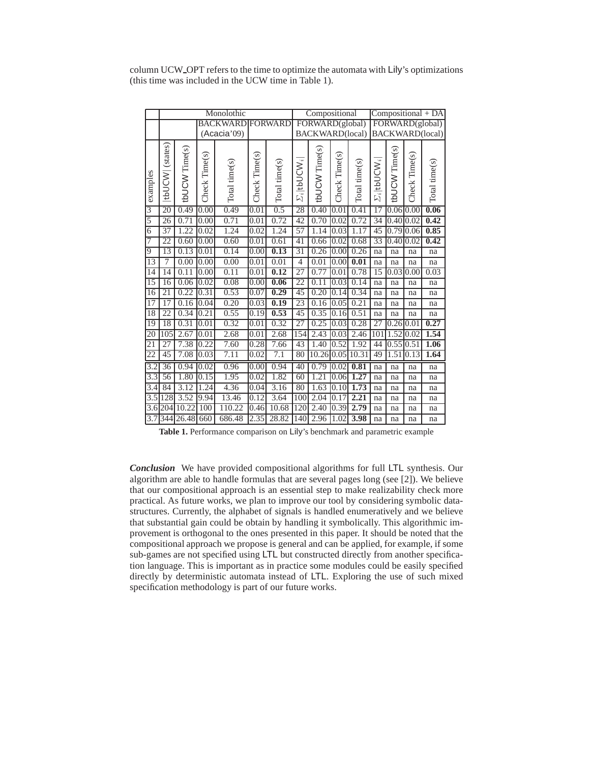| column UCW_OPT refers to the time to optimize the automata with Lily's optimizations |  |
|--------------------------------------------------------------------------------------|--|
| (this time was included in the UCW time in Table 1).                                 |  |

|                  | Monolothic              |                    |                   |               |               |                 | Compositional     |               |                   |                   | Compositional + DA |               |               |               |
|------------------|-------------------------|--------------------|-------------------|---------------|---------------|-----------------|-------------------|---------------|-------------------|-------------------|--------------------|---------------|---------------|---------------|
|                  | <b>BACKWARD FORWARD</b> |                    |                   |               |               |                 | FORWARD(global)   |               |                   | FORWARD(global)   |                    |               |               |               |
|                  |                         |                    | (Acacia'09)       |               |               | BACKWARD(local) |                   |               | BACKWARD(local)   |                   |                    |               |               |               |
| examples         | (states)<br>tbUCW       | tbUCW Time(s)      | Check Time(s)     | Total time(s) | Check Time(s) | Total time(s)   | $\Sigma_i$ tbUCW, | tbUCW Time(s) | Check Time(s)     | Total time(s)     | $\Sigma_i$ tbUCW.  | tbUCW Time(s) | Check Time(s) | Total time(s) |
| 3                | 20                      | 0.49               | $0.\overline{00}$ | 0.49          | 0.01          | 0.5             | 28                | 0.40          | 0.01              | 0.41              | $\overline{17}$    | 0.06          | 0.00          | 0.06          |
| 5                | $\overline{26}$         | 0.71               | 0.00              | 0.71          | 0.01          | 0.72            | 42                | 0.70          | 0.02              | 0.72              | 34                 | 0.40          | 0.02          | 0.42          |
| $\overline{6}$   | 37                      | 1.22               | 0.02              | 1.24          | 0.02          | 1.24            | $\overline{57}$   | 1.14          | 0.03              | 1.17              | 45                 | 0.79          | 0.06          | 0.85          |
| 7                | 22                      | 0.60               | 0.00              | 0.60          | 0.01          | 0.61            | 41                | 0.66          | 0.02              | 0.68              | 33                 | 0.40          | 0.02          | 0.42          |
| 9                | 13                      | 0.13               | 0.01              | 0.14          | 0.00          | 0.13            | $\overline{31}$   | 0.26          | 0.00              | 0.26              | na                 | na            | na            | na            |
| $\overline{13}$  | 7                       | 0.00               | 0.00              | 0.00          | 0.01          | 0.01            | $\overline{4}$    | 0.01          | 0.00              | 0.01              | na                 | na            | na            | na            |
| 14               | 14                      | 0.11               | 0.00              | 0.11          | 0.01          | 0.12            | $\overline{27}$   | 0.77          | 0.01              | 0.78              | 15                 | 0.03          | 0.00          | 0.03          |
| $\overline{15}$  | 16                      | 0.06               | 0.02              | 0.08          | 0.00          | 0.06            | $\overline{22}$   | 0.11          | 0.03              | 0.14              | na                 | na            | na            | na            |
| 16               | 21                      | 0.22               | 0.31              | 0.53          | 0.07          | 0.29            | 45                | 0.20          | 0.14              | 0.34              | na                 | na            | na            | na            |
| $\overline{17}$  | $\overline{17}$         | 0.16               | 0.04              | 0.20          | 0.03          | 0.19            | 23                | 0.16          | 0.05              | 0.21              | na                 | na            | na            | na            |
| 18               | $\overline{22}$         | 0.34               | 0.21              | 0.55          | 0.19          | 0.53            | $\overline{45}$   | 0.35          | 0.16              | 0.51              | na                 | na            | na            | na            |
| 19               | 18                      | 0.31               | 0.01              | 0.32          | 0.01          | 0.32            | 27                | 0.25          | 0.03              | 0.28              | 27                 | 0.26          | 0.01          | 0.27          |
| 20               | 105                     | 2.67               | 0.01              | 2.68          | 0.01          | 2.68            | 154               | 2.43          | 0.03              | 2.46              | 101                | 1.52          | 0.02          | 1.54          |
| 21               | 27                      | 7.38               | 0.22              | 7.60          | 0.28          | 7.66            | 43                | 1.40          | 0.52              | 1.92              | 44                 | 0.55          | 0.51          | 1.06          |
| 22               | 45                      | 7.08               | 0.03              | 7.11          | 0.02          | 7.1             | 80                | 10.26         | 0.05              | 10.31             | 49                 | 1.51          | 0.13          | 1.64          |
| 3.2              | 36                      | 0.94               | 0.02              | 0.96          | 0.00          | 0.94            | 40                | 0.79          | 0.02              | $\overline{0.81}$ | na                 | na            | na            | na            |
| $3.\overline{3}$ | 56                      | 1.80               | 0.15              | 1.95          | 0.02          | 1.82            | 60                | 1.21          | 0.06              | 1.27              | na                 | na            | na            | na            |
| 3.4              | 84                      | 3.12               | 1.24              | 4.36          | 0.04          | 3.16            | 80                | 1.63          | 0.10              | 1.73              | na                 | na            | na            | na            |
| 3.5              | 128                     | 3.52               | 9.94              | 13.46         | 0.12          | 3.64            | 100               | 2.04          | $\overline{0.17}$ | 2.21              | na                 | na            | na            | na            |
| 3.6              | 204                     | $\overline{10.22}$ | 100               | 110.22        | 0.46          | 10.68           | 120               | 2.40          | 0.39              | 2.79              | na                 | na            | na            | na            |
|                  | 3.7 344                 | 26.48              | 660               | 686.48        | 2.35          | 28.82           | 140               | 2.96          | 1.02              | 3.98              | na                 | na            | na            | na            |

**Table 1.** Performance comparison on Lily's benchmark and parametric example

*Conclusion* We have provided compositional algorithms for full LTL synthesis. Our algorithm are able to handle formulas that are several pages long (see [2]). We believe that our compositional approach is an essential step to make realizability check more practical. As future works, we plan to improve our tool by considering symbolic datastructures. Currently, the alphabet of signals is handled enumeratively and we believe that substantial gain could be obtain by handling it symbolically. This algorithmic improvement is orthogonal to the ones presented in this paper. It should be noted that the compositional approach we propose is general and can be applied, for example, if some sub-games are not specified using LTL but constructed directly from another specification language. This is important as in practice some modules could be easily specified directly by deterministic automata instead of LTL. Exploring the use of such mixed specification methodology is part of our future works.